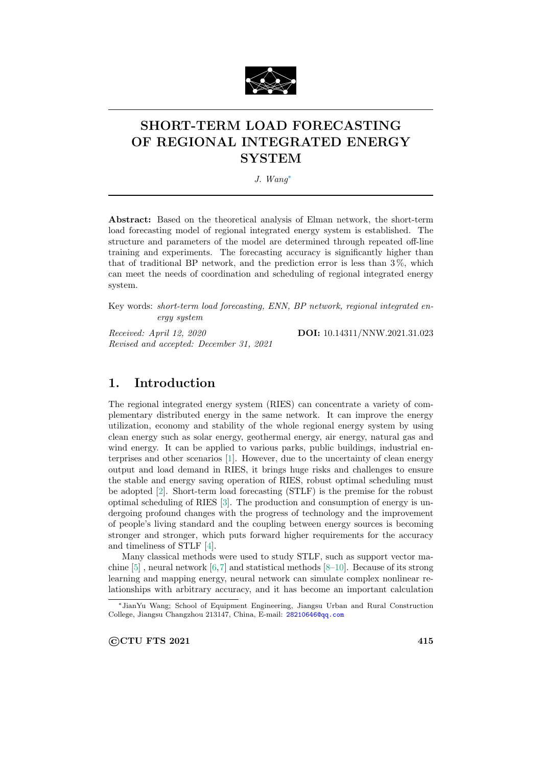

# SHORT-TERM LOAD FORECASTING OF REGIONAL INTEGRATED ENERGY **SYSTEM**

J. Wang<sup>∗</sup>

Abstract: Based on the theoretical analysis of Elman network, the short-term load forecasting model of regional integrated energy system is established. The structure and parameters of the model are determined through repeated off-line training and experiments. The forecasting accuracy is significantly higher than that of traditional BP network, and the prediction error is less than  $3\%$ , which can meet the needs of coordination and scheduling of regional integrated energy system.

Key words: short-term load forecasting, ENN, BP network, regional integrated energy system

Received: April 12, 2020 **DOI:** 10.14311/NNW.2021.31.023 Revised and accepted: December 31, 2021

## 1. Introduction

The regional integrated energy system (RIES) can concentrate a variety of complementary distributed energy in the same network. It can improve the energy utilization, economy and stability of the whole regional energy system by using clean energy such as solar energy, geothermal energy, air energy, natural gas and wind energy. It can be applied to various parks, public buildings, industrial enterprises and other scenarios [1]. However, due to the uncertainty of clean energy output and load demand in RIES, it brings huge risks and challenges to ensure the stable and energy saving operation of RIES, robust optimal scheduling must be adopted [2]. Short-term load forecasting (STLF) is the premise for the robust optimal scheduling of RIES [3]. The production and consumption of energy is undergoing profound changes with the progress of technology and the improvement of people's living standard and the coupling between energy sources is becoming stronger and stronger, which puts forward higher requirements for the accuracy and timeliness of STLF [4].

Many classical methods were used to study STLF, such as support vector machine  $[5]$ , neural network  $[6,7]$  and statistical methods  $[8-10]$ . Because of its strong learning and mapping energy, neural network can simulate complex nonlinear relationships with arbitrary accuracy, and it has become an important calculation

©CTU FTS 2021 415

<sup>∗</sup>JianYu Wang; School of Equipment Engineering, Jiangsu Urban and Rural Construction College, Jiangsu Changzhou 213147, China, E-mail: [28210646@qq.com](mailto:28210646@qq.com)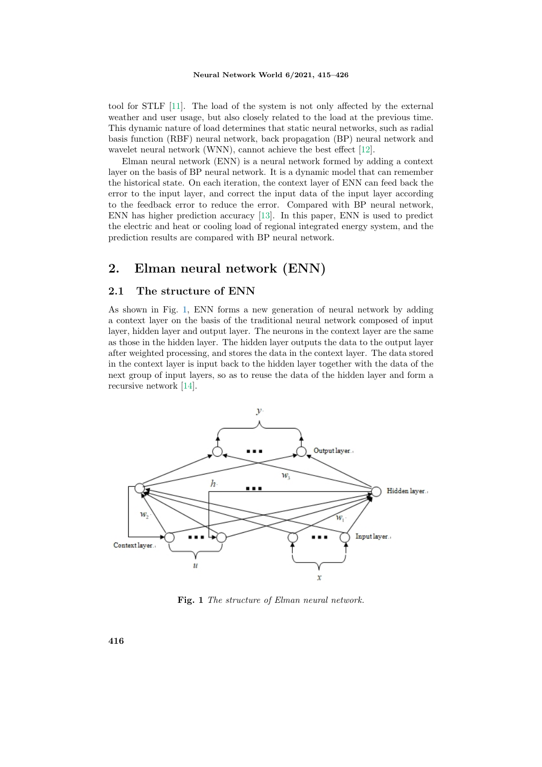tool for STLF [11]. The load of the system is not only affected by the external weather and user usage, but also closely related to the load at the previous time. This dynamic nature of load determines that static neural networks, such as radial basis function (RBF) neural network, back propagation (BP) neural network and wavelet neural network (WNN), cannot achieve the best effect [12].

Elman neural network (ENN) is a neural network formed by adding a context layer on the basis of BP neural network. It is a dynamic model that can remember the historical state. On each iteration, the context layer of ENN can feed back the error to the input layer, and correct the input data of the input layer according to the feedback error to reduce the error. Compared with BP neural network, ENN has higher prediction accuracy [13]. In this paper, ENN is used to predict the electric and heat or cooling load of regional integrated energy system, and the prediction results are compared with BP neural network.

## 2. Elman neural network (ENN)

#### 2.1 The structure of ENN

As shown in Fig. 1, ENN forms a new generation of neural network by adding a context layer on the basis of the traditional neural network composed of input layer, hidden layer and output layer. The neurons in the context layer are the same as those in the hidden layer. The hidden layer outputs the data to the output layer after weighted processing, and stores the data in the context layer. The data stored in the context layer is input back to the hidden layer together with the data of the next group of input layers, so as to reuse the data of the hidden layer and form a recursive network [14].



Fig. 1 The structure of Elman neural network.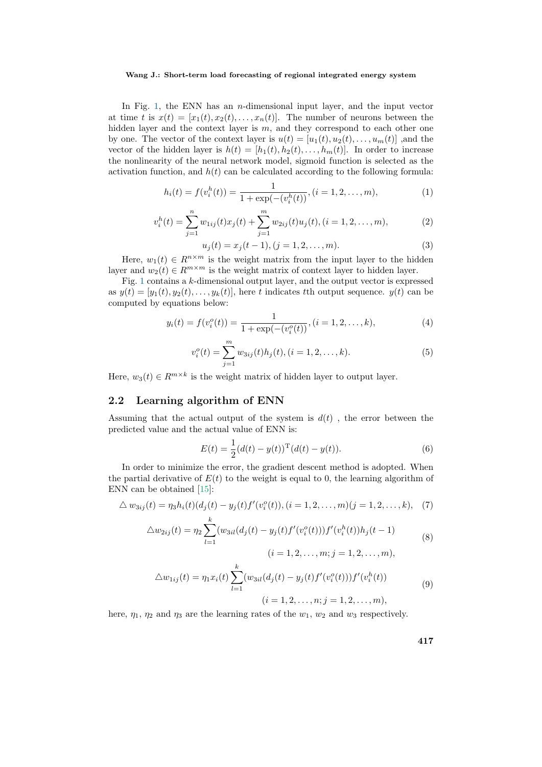In Fig. 1, the ENN has an *n*-dimensional input layer, and the input vector at time t is  $x(t) = [x_1(t), x_2(t), \ldots, x_n(t)]$ . The number of neurons between the hidden layer and the context layer is  $m$ , and they correspond to each other one by one. The vector of the context layer is  $u(t) = [u_1(t), u_2(t), \dots, u_m(t)]$ , and the vector of the hidden layer is  $h(t) = [h_1(t), h_2(t), \ldots, h_m(t)]$ . In order to increase the nonlinearity of the neural network model, sigmoid function is selected as the activation function, and  $h(t)$  can be calculated according to the following formula:

$$
h_i(t) = f(v_i^h(t)) = \frac{1}{1 + \exp(-(v_i^h(t))}, (i = 1, 2, \dots, m),
$$
\n(1)

$$
v_i^h(t) = \sum_{j=1}^n w_{1ij}(t)x_j(t) + \sum_{j=1}^m w_{2ij}(t)u_j(t), (i = 1, 2, ..., m),
$$
 (2)

$$
u_j(t) = x_j(t-1), (j = 1, 2, \dots, m). \tag{3}
$$

Here,  $w_1(t) \in R^{n \times m}$  is the weight matrix from the input layer to the hidden layer and  $w_2(t) \in R^{m \times m}$  is the weight matrix of context layer to hidden layer.

Fig. 1 contains a k-dimensional output layer, and the output vector is expressed as  $y(t) = [y_1(t), y_2(t), \dots, y_k(t)]$ , here t indicates the output sequence.  $y(t)$  can be computed by equations below:

$$
y_i(t) = f(v_i^o(t)) = \frac{1}{1 + \exp(-(v_i^o(t))}, (i = 1, 2, \dots, k),
$$
\n(4)

$$
v_i^o(t) = \sum_{j=1}^m w_{3ij}(t)h_j(t), (i = 1, 2, \dots, k).
$$
 (5)

Here,  $w_3(t) \in R^{m \times k}$  is the weight matrix of hidden layer to output layer.

### 2.2 Learning algorithm of ENN

Assuming that the actual output of the system is  $d(t)$ , the error between the predicted value and the actual value of ENN is:

$$
E(t) = \frac{1}{2}(d(t) - y(t))^\mathrm{T} (d(t) - y(t)).
$$
\n(6)

In order to minimize the error, the gradient descent method is adopted. When the partial derivative of  $E(t)$  to the weight is equal to 0, the learning algorithm of ENN can be obtained [15]:

$$
\triangle w_{3ij}(t) = \eta_3 h_i(t) (d_j(t) - y_j(t) f'(v_i^o(t)), (i = 1, 2, ..., m)(j = 1, 2, ..., k), (7)
$$

$$
\triangle w_{2ij}(t) = \eta_2 \sum_{l=1}^{k} (w_{3il}(d_j(t) - y_j(t)f'(v_i^o(t)))f'(v_i^h(t))h_j(t-1)
$$
  
(8)  

$$
(i = 1, 2, ..., m; j = 1, 2, ..., m),
$$

$$
\triangle w_{1ij}(t) = \eta_1 x_i(t) \sum_{l=1}^k (w_{3il}(d_j(t) - y_j(t) f'(v_i^o(t))) f'(v_i^h(t))
$$
\n
$$
(i = 1, 2, \dots, n; j = 1, 2, \dots, m),
$$
\n(9)

here,  $\eta_1$ ,  $\eta_2$  and  $\eta_3$  are the learning rates of the  $w_1$ ,  $w_2$  and  $w_3$  respectively.

417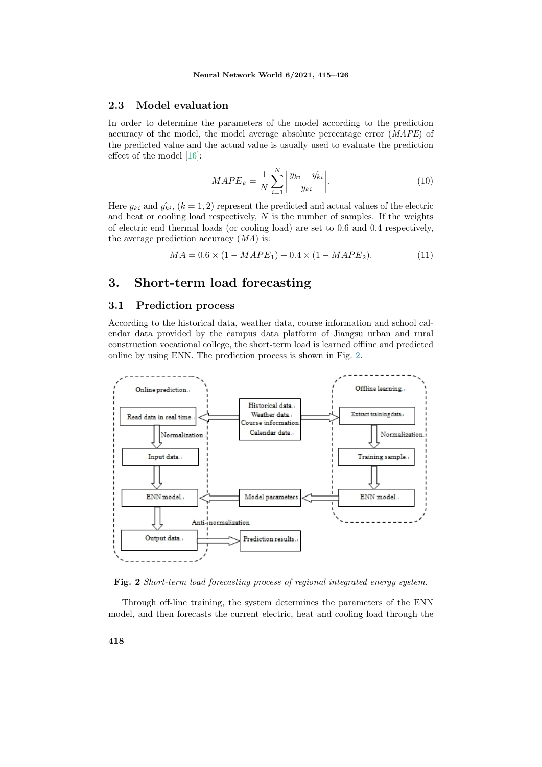### 2.3 Model evaluation

In order to determine the parameters of the model according to the prediction accuracy of the model, the model average absolute percentage error (MAPE) of the predicted value and the actual value is usually used to evaluate the prediction effect of the model [16]:

$$
MAPE_k = \frac{1}{N} \sum_{i=1}^{N} \left| \frac{y_{ki} - \hat{y_{ki}}}{y_{ki}} \right|.
$$
 (10)

Here  $y_{ki}$  and  $\hat{y}_{ki}$ ,  $(k = 1, 2)$  represent the predicted and actual values of the electric and heat or cooling load respectively,  $N$  is the number of samples. If the weights of electric end thermal loads (or cooling load) are set to 0.6 and 0.4 respectively, the average prediction accuracy  $(MA)$  is:

$$
MA = 0.6 \times (1 - MAPE_1) + 0.4 \times (1 - MAPE_2). \tag{11}
$$

### 3. Short-term load forecasting

### 3.1 Prediction process

According to the historical data, weather data, course information and school calendar data provided by the campus data platform of Jiangsu urban and rural construction vocational college, the short-term load is learned offline and predicted online by using ENN. The prediction process is shown in Fig. 2.



Fig. 2 Short-term load forecasting process of regional integrated energy system.

Through off-line training, the system determines the parameters of the ENN model, and then forecasts the current electric, heat and cooling load through the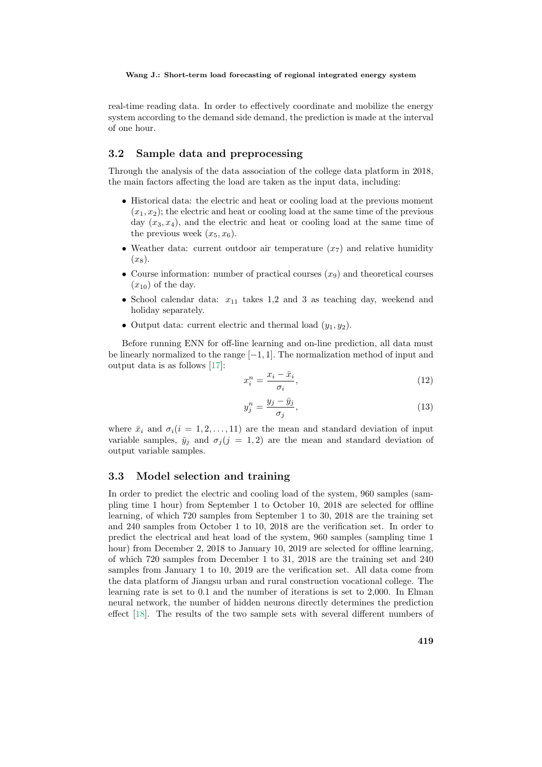real-time reading data. In order to effectively coordinate and mobilize the energy system according to the demand side demand, the prediction is made at the interval of one hour.

### 3.2 Sample data and preprocessing

Through the analysis of the data association of the college data platform in 2018, the main factors affecting the load are taken as the input data, including:

- Historical data: the electric and heat or cooling load at the previous moment  $(x_1, x_2)$ ; the electric and heat or cooling load at the same time of the previous day  $(x_3, x_4)$ , and the electric and heat or cooling load at the same time of the previous week  $(x_5, x_6)$ .
- Weather data: current outdoor air temperature  $(x<sub>7</sub>)$  and relative humidity  $(x_8)$ .
- Course information: number of practical courses  $(x_9)$  and theoretical courses  $(x_{10})$  of the day.
- School calendar data:  $x_{11}$  takes 1,2 and 3 as teaching day, weekend and holiday separately.
- Output data: current electric and thermal load  $(y_1, y_2)$ .

Before running ENN for off-line learning and on-line prediction, all data must be linearly normalized to the range  $[-1, 1]$ . The normalization method of input and output data is as follows [17]:

$$
x_i^n = \frac{x_i - \bar{x}_i}{\sigma_i},\tag{12}
$$

$$
y_j^n = \frac{y_j - \bar{y}_j}{\sigma_j},\tag{13}
$$

where  $\bar{x}_i$  and  $\sigma_i(i = 1, 2, \ldots, 11)$  are the mean and standard deviation of input variable samples,  $\bar{y}_i$  and  $\sigma_i (j = 1, 2)$  are the mean and standard deviation of output variable samples.

### 3.3 Model selection and training

In order to predict the electric and cooling load of the system, 960 samples (sampling time 1 hour) from September 1 to October 10, 2018 are selected for offline learning, of which 720 samples from September 1 to 30, 2018 are the training set and 240 samples from October 1 to 10, 2018 are the verification set. In order to predict the electrical and heat load of the system, 960 samples (sampling time 1 hour) from December 2, 2018 to January 10, 2019 are selected for offline learning, of which 720 samples from December 1 to 31, 2018 are the training set and 240 samples from January 1 to 10, 2019 are the verification set. All data come from the data platform of Jiangsu urban and rural construction vocational college. The learning rate is set to 0.1 and the number of iterations is set to 2,000. In Elman neural network, the number of hidden neurons directly determines the prediction effect [18]. The results of the two sample sets with several different numbers of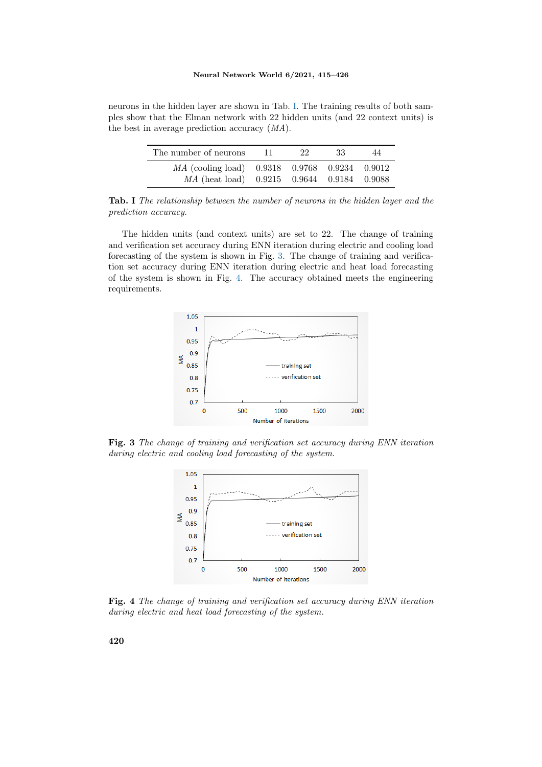neurons in the hidden layer are shown in Tab. I. The training results of both samples show that the Elman network with 22 hidden units (and 22 context units) is the best in average prediction accuracy (MA).

| The number of neurons                                                                       | -11- | -22. | -33 | 44 |
|---------------------------------------------------------------------------------------------|------|------|-----|----|
| MA (cooling load) 0.9318 0.9768 0.9234 0.9012<br>MA (heat load) 0.9215 0.9644 0.9184 0.9088 |      |      |     |    |

Tab. I The relationship between the number of neurons in the hidden layer and the prediction accuracy.

The hidden units (and context units) are set to 22. The change of training and verification set accuracy during ENN iteration during electric and cooling load forecasting of the system is shown in Fig. 3. The change of training and verification set accuracy during ENN iteration during electric and heat load forecasting of the system is shown in Fig. 4. The accuracy obtained meets the engineering requirements.



Fig. 3 The change of training and verification set accuracy during ENN iteration during electric and cooling load forecasting of the system.



Fig. 4 The change of training and verification set accuracy during ENN iteration during electric and heat load forecasting of the system.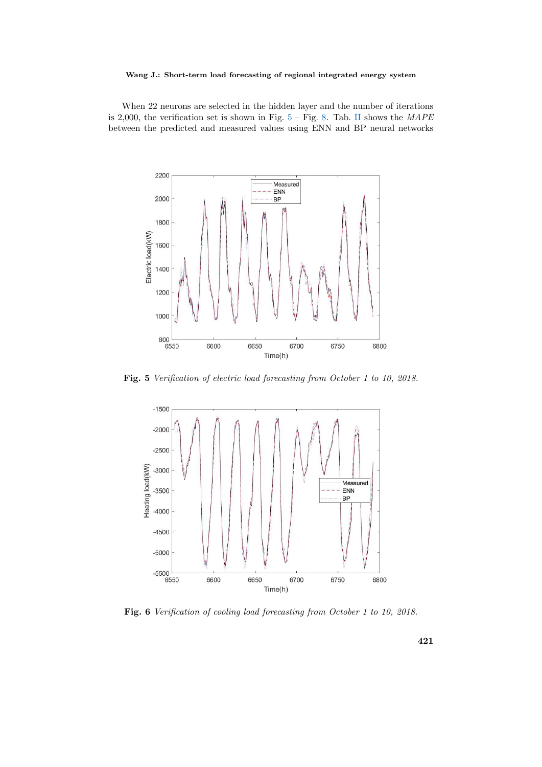When 22 neurons are selected in the hidden layer and the number of iterations is 2,000, the verification set is shown in Fig.  $5 -$  Fig. 8. Tab. II shows the *MAPE* between the predicted and measured values using ENN and BP neural networks



Fig. 5 Verification of electric load forecasting from October 1 to 10, 2018.



Fig. 6 Verification of cooling load forecasting from October 1 to 10, 2018.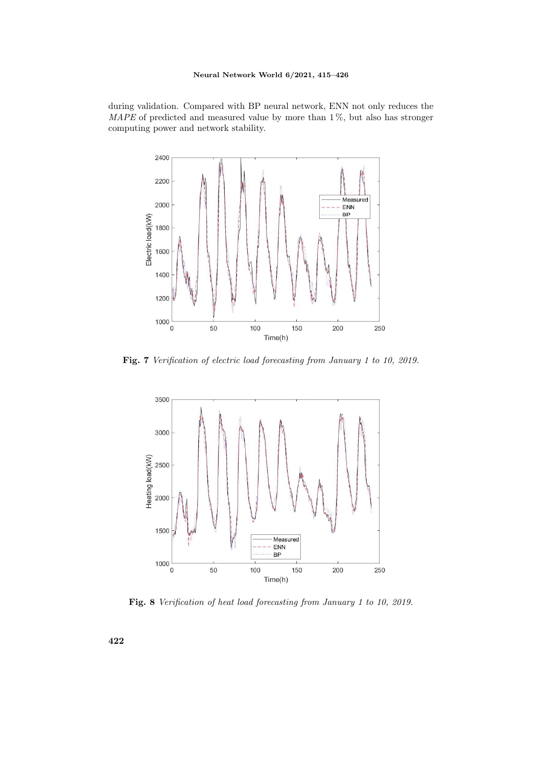### Neural Network World 6/2021, 415–426

during validation. Compared with BP neural network, ENN not only reduces the  $MAPE$  of predicted and measured value by more than  $1\%$ , but also has stronger computing power and network stability.



Fig. 7 Verification of electric load forecasting from January 1 to 10, 2019.



Fig. 8 Verification of heat load forecasting from January 1 to 10, 2019.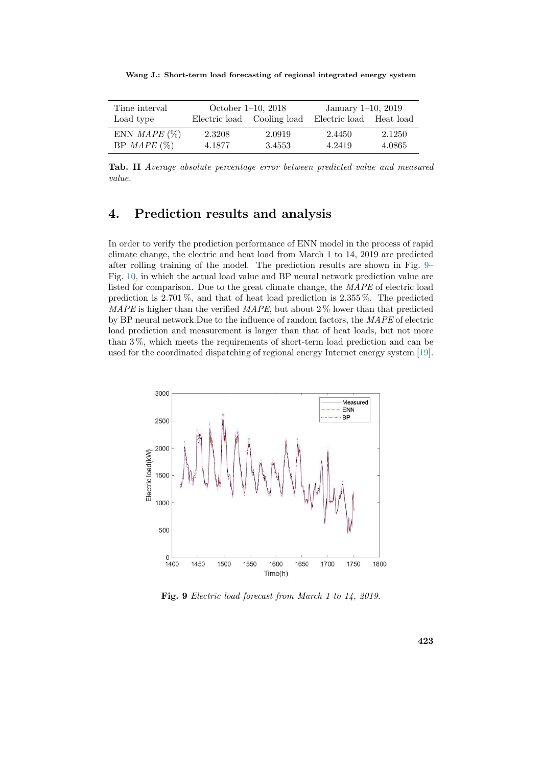Wang J.: Short-term load forecasting of regional integrated energy system

| Time interval          | October $1-10$ , $2018$ |                            | January $1-10$ , $2019$ |        |  |
|------------------------|-------------------------|----------------------------|-------------------------|--------|--|
| Load type              |                         | Electric load Cooling load | Electric load Heat load |        |  |
| ENN <i>MAPE</i> $(\%)$ | 2.3208                  | 2.0919                     | 2.4450                  | 2.1250 |  |
| $BP$ MAPE $(\%)$       | 4.1877                  | 3.4553                     | 4.2419                  | 4.0865 |  |

Tab. II Average absolute percentage error between predicted value and measured value.

## 4. Prediction results and analysis

In order to verify the prediction performance of ENN model in the process of rapid climate change, the electric and heat load from March 1 to 14, 2019 are predicted after rolling training of the model. The prediction results are shown in Fig. 9– Fig. 10, in which the actual load value and BP neural network prediction value are listed for comparison. Due to the great climate change, the MAPE of electric load prediction is 2.701 %, and that of heat load prediction is 2.355 %. The predicted MAPE is higher than the verified MAPE, but about  $2\%$  lower than that predicted by BP neural network.Due to the influence of random factors, the MAPE of electric load prediction and measurement is larger than that of heat loads, but not more than 3 %, which meets the requirements of short-term load prediction and can be used for the coordinated dispatching of regional energy Internet energy system [19].



Fig. 9 Electric load forecast from March 1 to 14, 2019.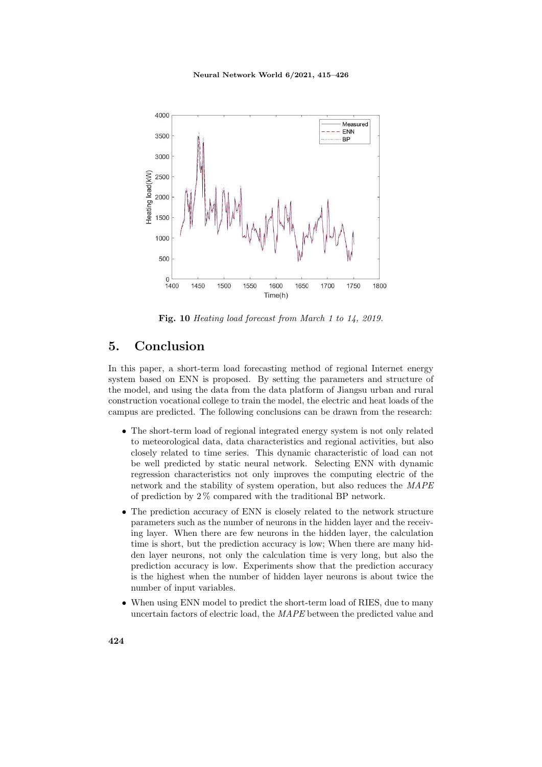#### Neural Network World 6/2021, 415–426



Fig. 10 Heating load forecast from March 1 to 14, 2019.

## 5. Conclusion

In this paper, a short-term load forecasting method of regional Internet energy system based on ENN is proposed. By setting the parameters and structure of the model, and using the data from the data platform of Jiangsu urban and rural construction vocational college to train the model, the electric and heat loads of the campus are predicted. The following conclusions can be drawn from the research:

- The short-term load of regional integrated energy system is not only related to meteorological data, data characteristics and regional activities, but also closely related to time series. This dynamic characteristic of load can not be well predicted by static neural network. Selecting ENN with dynamic regression characteristics not only improves the computing electric of the network and the stability of system operation, but also reduces the MAPE of prediction by 2 % compared with the traditional BP network.
- The prediction accuracy of ENN is closely related to the network structure parameters such as the number of neurons in the hidden layer and the receiving layer. When there are few neurons in the hidden layer, the calculation time is short, but the prediction accuracy is low; When there are many hidden layer neurons, not only the calculation time is very long, but also the prediction accuracy is low. Experiments show that the prediction accuracy is the highest when the number of hidden layer neurons is about twice the number of input variables.
- When using ENN model to predict the short-term load of RIES, due to many uncertain factors of electric load, the MAPE between the predicted value and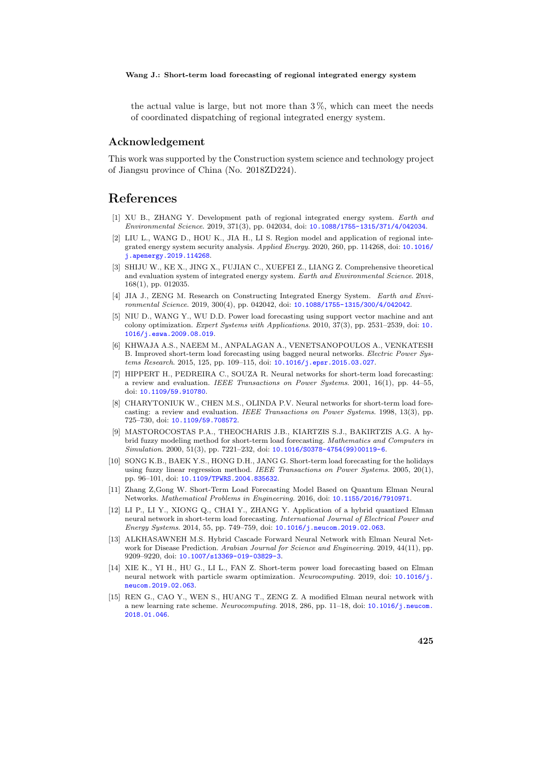the actual value is large, but not more than 3 %, which can meet the needs of coordinated dispatching of regional integrated energy system.

#### Acknowledgement

This work was supported by the Construction system science and technology project of Jiangsu province of China (No. 2018ZD224).

## References

- [1] XU B., ZHANG Y. Development path of regional integrated energy system. Earth and Environmental Science. 2019, 371(3), pp. 042034, doi: [10.1088/1755-1315/371/4/042034](http://dx.doi.org/10.1088/1755-1315/371/4/042034).
- [2] LIU L., WANG D., HOU K., JIA H., LI S. Region model and application of regional integrated energy system security analysis. Applied Energy. 2020, 260, pp. 114268, doi: [10.1016/](http://dx.doi.org/10.1016/j.apenergy.2019.114268) [j.apenergy.2019.114268](http://dx.doi.org/10.1016/j.apenergy.2019.114268).
- [3] SHIJU W., KE X., JING X., FUJIAN C., XUEFEI Z., LIANG Z. Comprehensive theoretical and evaluation system of integrated energy system. Earth and Environmental Science. 2018, 168(1), pp. 012035.
- [4] JIA J., ZENG M. Research on Constructing Integrated Energy System. Earth and Environmental Science. 2019, 300(4), pp. 042042, doi: [10.1088/1755-1315/300/4/042042](http://dx.doi.org/10.1088/1755-1315/300/4/042042).
- [5] NIU D., WANG Y., WU D.D. Power load forecasting using support vector machine and ant colony optimization. Expert Systems with Applications. 2010, 37(3), pp. 2531–2539, doi: [10.](http://dx.doi.org/10.1016/j.eswa.2009.08.019) [1016/j.eswa.2009.08.019](http://dx.doi.org/10.1016/j.eswa.2009.08.019).
- [6] KHWAJA A.S., NAEEM M., ANPALAGAN A., VENETSANOPOULOS A., VENKATESH B. Improved short-term load forecasting using bagged neural networks. Electric Power Systems Research. 2015, 125, pp. 109–115, doi: [10.1016/j.epsr.2015.03.027](http://dx.doi.org/10.1016/j.epsr.2015.03.027).
- [7] HIPPERT H., PEDREIRA C., SOUZA R. Neural networks for short-term load forecasting: a review and evaluation. IEEE Transactions on Power Systems. 2001, 16(1), pp. 44–55, doi: [10.1109/59.910780](http://dx.doi.org/10.1109/59.910780).
- [8] CHARYTONIUK W., CHEN M.S., OLINDA P.V. Neural networks for short-term load forecasting: a review and evaluation. IEEE Transactions on Power Systems. 1998, 13(3), pp. 725–730, doi: [10.1109/59.708572](http://dx.doi.org/10.1109/59.708572).
- [9] MASTOROCOSTAS P.A., THEOCHARIS J.B., KIARTZIS S.J., BAKIRTZIS A.G. A hybrid fuzzy modeling method for short-term load forecasting. Mathematics and Computers in Simulation. 2000, 51(3), pp. 7221–232, doi: [10.1016/S0378-4754\(99\)00119-6](http://dx.doi.org/10.1016/S0378-4754(99)00119-6).
- [10] SONG K.B., BAEK Y.S., HONG D.H., JANG G. Short-term load forecasting for the holidays using fuzzy linear regression method. IEEE Transactions on Power Systems. 2005, 20(1), pp. 96–101, doi: [10.1109/TPWRS.2004.835632](http://dx.doi.org/10.1109/TPWRS.2004.835632).
- [11] Zhang Z,Gong W. Short-Term Load Forecasting Model Based on Quantum Elman Neural Networks. Mathematical Problems in Engineering. 2016, doi: [10.1155/2016/7910971](http://dx.doi.org/10.1155/2016/7910971).
- [12] LI P., LI Y., XIONG Q., CHAI Y., ZHANG Y. Application of a hybrid quantized Elman neural network in short-term load forecasting. International Journal of Electrical Power and Energy Systems. 2014, 55, pp. 749–759, doi: [10.1016/j.neucom.2019.02.063](http://dx.doi.org/10.1016/j.neucom.2019.02.063).
- [13] ALKHASAWNEH M.S. Hybrid Cascade Forward Neural Network with Elman Neural Network for Disease Prediction. Arabian Journal for Science and Engineering. 2019, 44(11), pp. 9209–9220, doi: [10.1007/s13369-019-03829-3](http://dx.doi.org/10.1007/s13369-019-03829-3).
- [14] XIE K., YI H., HU G., LI L., FAN Z. Short-term power load forecasting based on Elman neural network with particle swarm optimization. Neurocomputing. 2019, doi: [10.1016/j.](http://dx.doi.org/10.1016/j.neucom.2019.02.063) [neucom.2019.02.063](http://dx.doi.org/10.1016/j.neucom.2019.02.063).
- [15] REN G., CAO Y., WEN S., HUANG T., ZENG Z. A modified Elman neural network with a new learning rate scheme. Neurocomputing. 2018, 286, pp. 11–18, doi: [10.1016/j.neucom.](http://dx.doi.org/10.1016/j.neucom.2018.01.046) [2018.01.046](http://dx.doi.org/10.1016/j.neucom.2018.01.046).